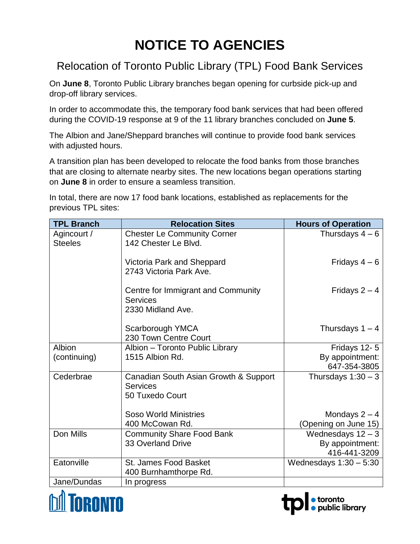## **NOTICE TO AGENCIES**

## Relocation of Toronto Public Library (TPL) Food Bank Services

On **June 8**, Toronto Public Library branches began opening for curbside pick-up and drop-off library services.

In order to accommodate this, the temporary food bank services that had been offered during the COVID-19 response at 9 of the 11 library branches concluded on **June 5**.

The Albion and Jane/Sheppard branches will continue to provide food bank services with adjusted hours.

A transition plan has been developed to relocate the food banks from those branches that are closing to alternate nearby sites. The new locations began operations starting on **June 8** in order to ensure a seamless transition.

In total, there are now 17 food bank locations, established as replacements for the previous TPL sites:

| <b>TPL Branch</b>             | <b>Relocation Sites</b>                                                     | <b>Hours of Operation</b>       |
|-------------------------------|-----------------------------------------------------------------------------|---------------------------------|
| Agincourt /<br><b>Steeles</b> | <b>Chester Le Community Corner</b><br>142 Chester Le Blvd.                  | Thursdays $4-6$                 |
|                               | Victoria Park and Sheppard<br>2743 Victoria Park Ave.                       | Fridays $4-6$                   |
|                               | Centre for Immigrant and Community<br><b>Services</b><br>2330 Midland Ave.  | Fridays $2 - 4$                 |
|                               | Scarborough YMCA<br>230 Town Centre Court                                   | Thursdays $1 - 4$               |
| Albion                        | Albion - Toronto Public Library                                             | Fridays 12-5                    |
| (continuing)                  | 1515 Albion Rd.                                                             | By appointment:<br>647-354-3805 |
| Cederbrae                     | Canadian South Asian Growth & Support<br><b>Services</b><br>50 Tuxedo Court | Thursdays $1:30-3$              |
|                               | <b>Soso World Ministries</b>                                                | Mondays $2 - 4$                 |
|                               | 400 McCowan Rd.                                                             | (Opening on June 15)            |
| Don Mills                     | <b>Community Share Food Bank</b>                                            | Wednesdays $12-3$               |
|                               | <b>33 Overland Drive</b>                                                    | By appointment:<br>416-441-3209 |
| Eatonville                    | St. James Food Basket                                                       | Wednesdays $1:30-5:30$          |
|                               | 400 Burnhamthorpe Rd.                                                       |                                 |
| Jane/Dundas                   | In progress                                                                 |                                 |

· toronto<br>• public library